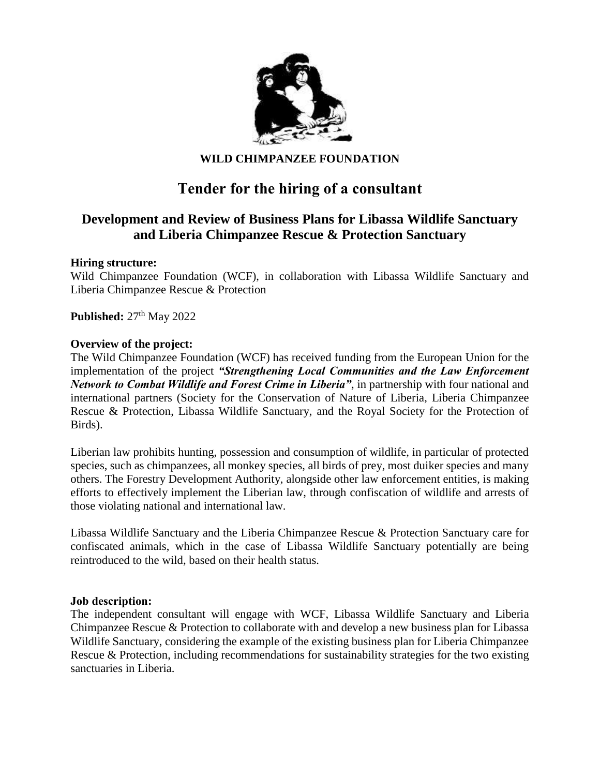

## **WILD CHIMPANZEE FOUNDATION**

# **Tender for the hiring of a consultant**

## **Development and Review of Business Plans for Libassa Wildlife Sanctuary and Liberia Chimpanzee Rescue & Protection Sanctuary**

#### **Hiring structure:**

Wild Chimpanzee Foundation (WCF), in collaboration with Libassa Wildlife Sanctuary and Liberia Chimpanzee Rescue & Protection

**Published:**  $27<sup>th</sup>$  May 2022

#### **Overview of the project:**

The Wild Chimpanzee Foundation (WCF) has received funding from the European Union for the implementation of the project *"Strengthening Local Communities and the Law Enforcement Network to Combat Wildlife and Forest Crime in Liberia"*, in partnership with four national and international partners (Society for the Conservation of Nature of Liberia, Liberia Chimpanzee Rescue & Protection, Libassa Wildlife Sanctuary, and the Royal Society for the Protection of Birds).

Liberian law prohibits hunting, possession and consumption of wildlife, in particular of protected species, such as chimpanzees, all monkey species, all birds of prey, most duiker species and many others. The Forestry Development Authority, alongside other law enforcement entities, is making efforts to effectively implement the Liberian law, through confiscation of wildlife and arrests of those violating national and international law.

Libassa Wildlife Sanctuary and the Liberia Chimpanzee Rescue & Protection Sanctuary care for confiscated animals, which in the case of Libassa Wildlife Sanctuary potentially are being reintroduced to the wild, based on their health status.

#### **Job description:**

The independent consultant will engage with WCF, Libassa Wildlife Sanctuary and Liberia Chimpanzee Rescue & Protection to collaborate with and develop a new business plan for Libassa Wildlife Sanctuary, considering the example of the existing business plan for Liberia Chimpanzee Rescue & Protection, including recommendations for sustainability strategies for the two existing sanctuaries in Liberia.